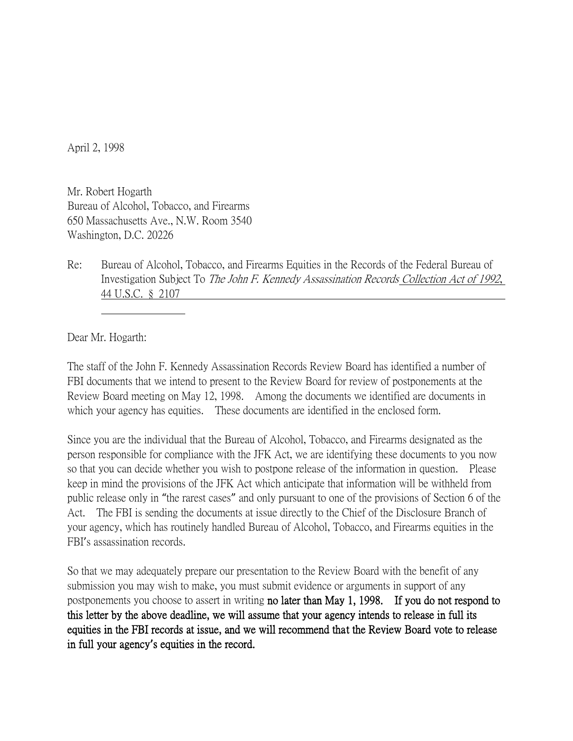April 2, 1998

Mr. Robert Hogarth Bureau of Alcohol, Tobacco, and Firearms 650 Massachusetts Ave., N.W. Room 3540 Washington, D.C. 20226

Re: Bureau of Alcohol, Tobacco, and Firearms Equities in the Records of the Federal Bureau of Investigation Subject To The John F. Kennedy Assassination Records Collection Act of 1992, 44 U.S.C. § 2107

Dear Mr. Hogarth:

The staff of the John F. Kennedy Assassination Records Review Board has identified a number of FBI documents that we intend to present to the Review Board for review of postponements at the Review Board meeting on May 12, 1998. Among the documents we identified are documents in which your agency has equities. These documents are identified in the enclosed form.

Since you are the individual that the Bureau of Alcohol, Tobacco, and Firearms designated as the person responsible for compliance with the JFK Act, we are identifying these documents to you now so that you can decide whether you wish to postpone release of the information in question. Please keep in mind the provisions of the JFK Act which anticipate that information will be withheld from public release only in "the rarest cases" and only pursuant to one of the provisions of Section 6 of the Act. The FBI is sending the documents at issue directly to the Chief of the Disclosure Branch of your agency, which has routinely handled Bureau of Alcohol, Tobacco, and Firearms equities in the FBI's assassination records.

So that we may adequately prepare our presentation to the Review Board with the benefit of any submission you may wish to make, you must submit evidence or arguments in support of any postponements you choose to assert in writing no later than May 1, 1998. If you do not respond to this letter by the above deadline, we will assume that your agency intends to release in full its equities in the FBI records at issue, and we will recommend that the Review Board vote to release in full your agency**'**s equities in the record.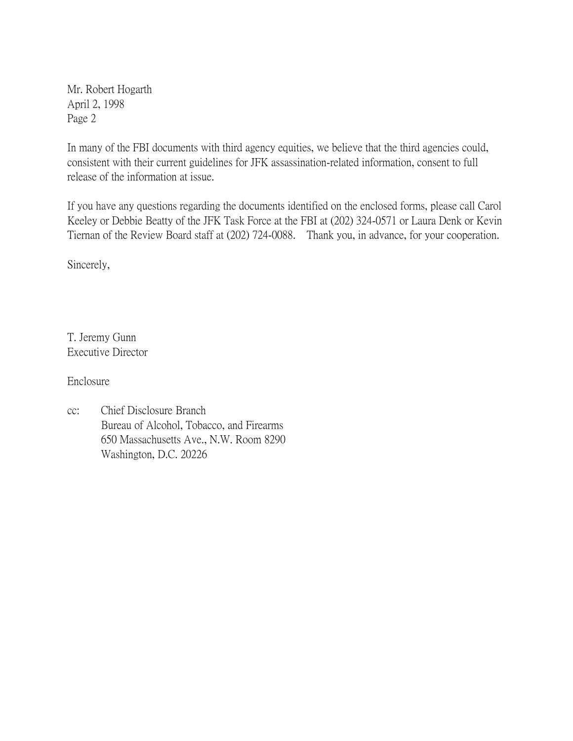Mr. Robert Hogarth April 2, 1998 Page 2

In many of the FBI documents with third agency equities, we believe that the third agencies could, consistent with their current guidelines for JFK assassination-related information, consent to full release of the information at issue.

If you have any questions regarding the documents identified on the enclosed forms, please call Carol Keeley or Debbie Beatty of the JFK Task Force at the FBI at (202) 324-0571 or Laura Denk or Kevin Tiernan of the Review Board staff at (202) 724-0088. Thank you, in advance, for your cooperation.

Sincerely,

T. Jeremy Gunn Executive Director

Enclosure

cc: Chief Disclosure Branch Bureau of Alcohol, Tobacco, and Firearms 650 Massachusetts Ave., N.W. Room 8290 Washington, D.C. 20226